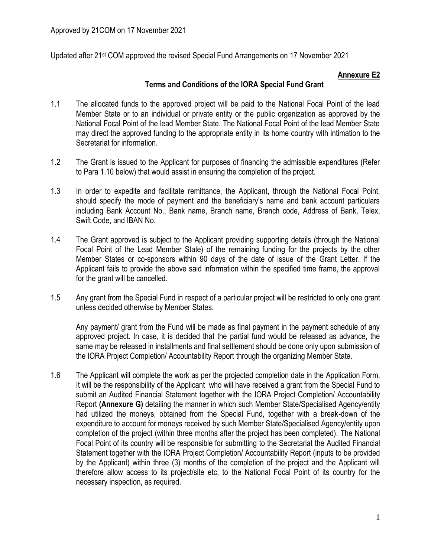Updated after 21st COM approved the revised Special Fund Arrangements on 17 November 2021

# **Annexure E2**

## **Terms and Conditions of the IORA Special Fund Grant**

- 1.1 The allocated funds to the approved project will be paid to the National Focal Point of the lead Member State or to an individual or private entity or the public organization as approved by the National Focal Point of the lead Member State. The National Focal Point of the lead Member State may direct the approved funding to the appropriate entity in its home country with intimation to the Secretariat for information.
- 1.2 The Grant is issued to the Applicant for purposes of financing the admissible expenditures (Refer to Para 1.10 below) that would assist in ensuring the completion of the project.
- 1.3 In order to expedite and facilitate remittance, the Applicant, through the National Focal Point, should specify the mode of payment and the beneficiary's name and bank account particulars including Bank Account No., Bank name, Branch name, Branch code, Address of Bank, Telex, Swift Code, and IBAN No.
- 1.4 The Grant approved is subject to the Applicant providing supporting details (through the National Focal Point of the Lead Member State) of the remaining funding for the projects by the other Member States or co-sponsors within 90 days of the date of issue of the Grant Letter. If the Applicant fails to provide the above said information within the specified time frame, the approval for the grant will be cancelled.
- 1.5 Any grant from the Special Fund in respect of a particular project will be restricted to only one grant unless decided otherwise by Member States.

Any payment/ grant from the Fund will be made as final payment in the payment schedule of any approved project. In case, it is decided that the partial fund would be released as advance, the same may be released in installments and final settlement should be done only upon submission of the IORA Project Completion/ Accountability Report through the organizing Member State.

1.6 The Applicant will complete the work as per the projected completion date in the Application Form. It will be the responsibility of the Applicant who will have received a grant from the Special Fund to submit an Audited Financial Statement together with the IORA Project Completion/ Accountability Report **(Annexure G)** detailing the manner in which such Member State/Specialised Agency/entity had utilized the moneys, obtained from the Special Fund, together with a break-down of the expenditure to account for moneys received by such Member State/Specialised Agency/entity upon completion of the project (within three months after the project has been completed). The National Focal Point of its country will be responsible for submitting to the Secretariat the Audited Financial Statement together with the IORA Project Completion/ Accountability Report (inputs to be provided by the Applicant) within three (3) months of the completion of the project and the Applicant will therefore allow access to its project/site etc, to the National Focal Point of its country for the necessary inspection, as required.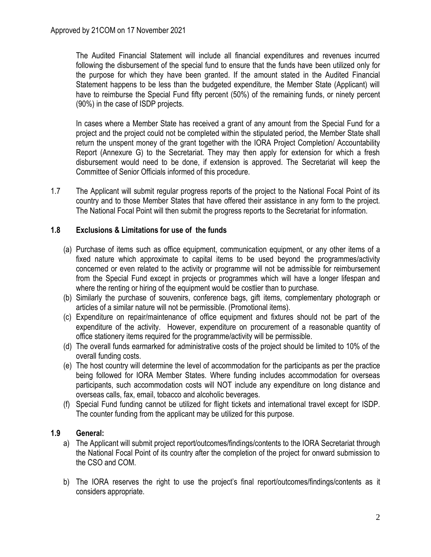The Audited Financial Statement will include all financial expenditures and revenues incurred following the disbursement of the special fund to ensure that the funds have been utilized only for the purpose for which they have been granted. If the amount stated in the Audited Financial Statement happens to be less than the budgeted expenditure, the Member State (Applicant) will have to reimburse the Special Fund fifty percent (50%) of the remaining funds, or ninety percent (90%) in the case of ISDP projects.

In cases where a Member State has received a grant of any amount from the Special Fund for a project and the project could not be completed within the stipulated period, the Member State shall return the unspent money of the grant together with the IORA Project Completion/ Accountability Report (Annexure G) to the Secretariat. They may then apply for extension for which a fresh disbursement would need to be done, if extension is approved. The Secretariat will keep the Committee of Senior Officials informed of this procedure.

1.7 The Applicant will submit regular progress reports of the project to the National Focal Point of its country and to those Member States that have offered their assistance in any form to the project. The National Focal Point will then submit the progress reports to the Secretariat for information.

## **1.8 Exclusions & Limitations for use of the funds**

- (a) Purchase of items such as office equipment, communication equipment, or any other items of a fixed nature which approximate to capital items to be used beyond the programmes/activity concerned or even related to the activity or programme will not be admissible for reimbursement from the Special Fund except in projects or programmes which will have a longer lifespan and where the renting or hiring of the equipment would be costlier than to purchase.
- (b) Similarly the purchase of souvenirs, conference bags, gift items, complementary photograph or articles of a similar nature will not be permissible. (Promotional items).
- (c) Expenditure on repair/maintenance of office equipment and fixtures should not be part of the expenditure of the activity. However, expenditure on procurement of a reasonable quantity of office stationery items required for the programme/activity will be permissible.
- (d) The overall funds earmarked for administrative costs of the project should be limited to 10% of the overall funding costs.
- (e) The host country will determine the level of accommodation for the participants as per the practice being followed for IORA Member States. Where funding includes accommodation for overseas participants, such accommodation costs will NOT include any expenditure on long distance and overseas calls, fax, email, tobacco and alcoholic beverages.
- (f) Special Fund funding cannot be utilized for flight tickets and international travel except for ISDP. The counter funding from the applicant may be utilized for this purpose.

#### **1.9 General:**

- a) The Applicant will submit project report/outcomes/findings/contents to the IORA Secretariat through the National Focal Point of its country after the completion of the project for onward submission to the CSO and COM.
- b) The IORA reserves the right to use the project's final report/outcomes/findings/contents as it considers appropriate.